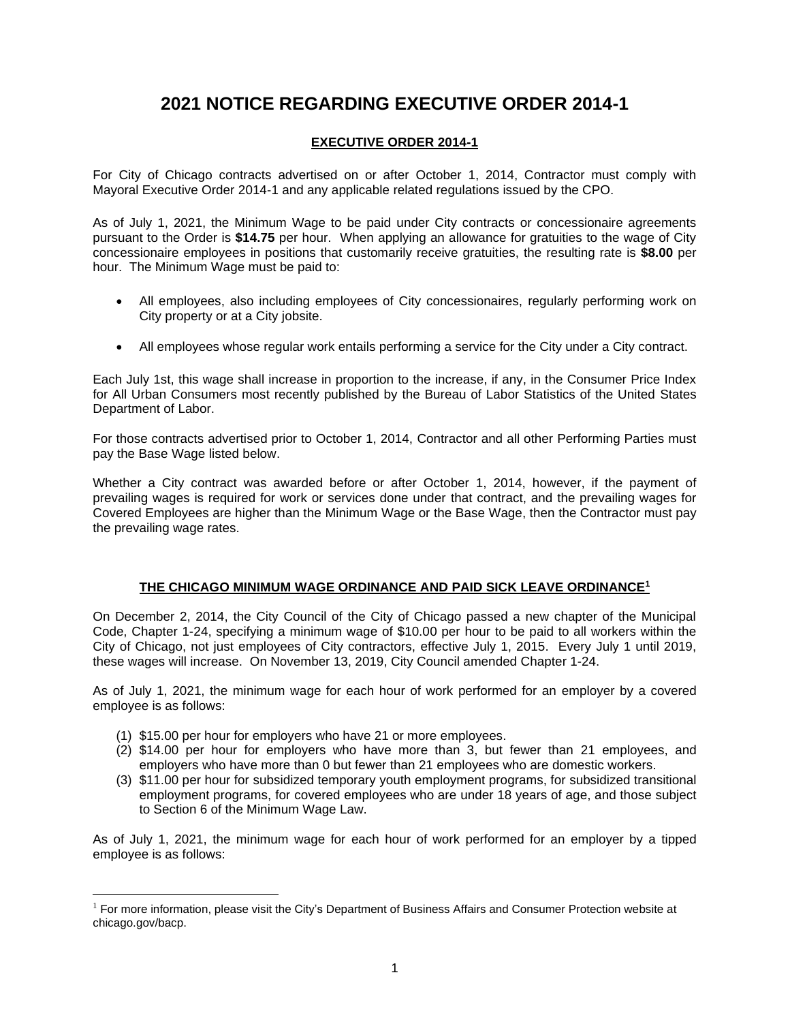## **2021 NOTICE REGARDING EXECUTIVE ORDER 2014-1**

## **EXECUTIVE ORDER 2014-1**

For City of Chicago contracts advertised on or after October 1, 2014, Contractor must comply with Mayoral Executive Order 2014-1 and any applicable related regulations issued by the CPO.

As of July 1, 2021, the Minimum Wage to be paid under City contracts or concessionaire agreements pursuant to the Order is **\$14.75** per hour. When applying an allowance for gratuities to the wage of City concessionaire employees in positions that customarily receive gratuities, the resulting rate is **\$8.00** per hour. The Minimum Wage must be paid to:

- All employees, also including employees of City concessionaires, regularly performing work on City property or at a City jobsite.
- All employees whose regular work entails performing a service for the City under a City contract.

Each July 1st, this wage shall increase in proportion to the increase, if any, in the Consumer Price Index for All Urban Consumers most recently published by the Bureau of Labor Statistics of the United States Department of Labor.

For those contracts advertised prior to October 1, 2014, Contractor and all other Performing Parties must pay the Base Wage listed below.

Whether a City contract was awarded before or after October 1, 2014, however, if the payment of prevailing wages is required for work or services done under that contract, and the prevailing wages for Covered Employees are higher than the Minimum Wage or the Base Wage, then the Contractor must pay the prevailing wage rates.

## **THE CHICAGO MINIMUM WAGE ORDINANCE AND PAID SICK LEAVE ORDINANCE<sup>1</sup>**

On December 2, 2014, the City Council of the City of Chicago passed a new chapter of the Municipal Code, Chapter 1-24, specifying a minimum wage of \$10.00 per hour to be paid to all workers within the City of Chicago, not just employees of City contractors, effective July 1, 2015. Every July 1 until 2019, these wages will increase. On November 13, 2019, City Council amended Chapter 1-24.

As of July 1, 2021, the minimum wage for each hour of work performed for an employer by a covered employee is as follows:

- (1) \$15.00 per hour for employers who have 21 or more employees.
- (2) \$14.00 per hour for employers who have more than 3, but fewer than 21 employees, and employers who have more than 0 but fewer than 21 employees who are domestic workers.
- (3) \$11.00 per hour for subsidized temporary youth employment programs, for subsidized transitional employment programs, for covered employees who are under 18 years of age, and those subject to Section 6 of the Minimum Wage Law.

As of July 1, 2021, the minimum wage for each hour of work performed for an employer by a tipped employee is as follows:

 $1$  For more information, please visit the City's Department of Business Affairs and Consumer Protection website at chicago.gov/bacp.